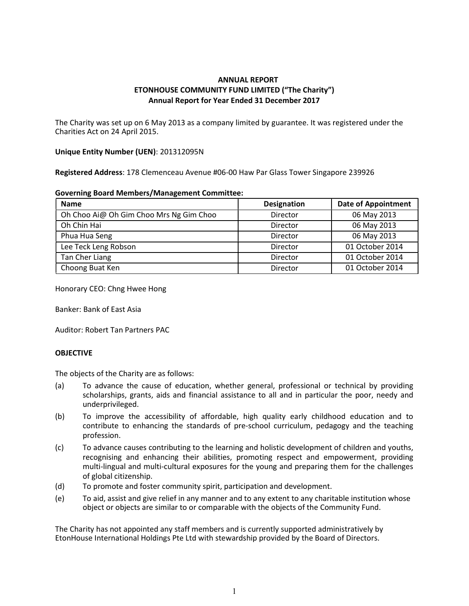# ANNUAL REPORT ETONHOUSE COMMUNITY FUND LIMITED ("The Charity") Annual Report for Year Ended 31 December 2017

The Charity was set up on 6 May 2013 as a company limited by guarantee. It was registered under the Charities Act on 24 April 2015.

### Unique Entity Number (UEN): 201312095N

Registered Address: 178 Clemenceau Avenue #06-00 Haw Par Glass Tower Singapore 239926

|  | <b>Governing Board Members/Management Committee:</b> |  |
|--|------------------------------------------------------|--|
|--|------------------------------------------------------|--|

| <b>Name</b>                             | <b>Designation</b> | <b>Date of Appointment</b> |
|-----------------------------------------|--------------------|----------------------------|
| Oh Choo Ai@ Oh Gim Choo Mrs Ng Gim Choo | Director           | 06 May 2013                |
| Oh Chin Hai                             | Director           | 06 May 2013                |
| Phua Hua Seng                           | Director           | 06 May 2013                |
| Lee Teck Leng Robson                    | Director           | 01 October 2014            |
| Tan Cher Liang                          | Director           | 01 October 2014            |
| Choong Buat Ken                         | Director           | 01 October 2014            |

Honorary CEO: Chng Hwee Hong

Banker: Bank of East Asia

Auditor: Robert Tan Partners PAC

## **OBJECTIVE**

The objects of the Charity are as follows:

- (a) To advance the cause of education, whether general, professional or technical by providing scholarships, grants, aids and financial assistance to all and in particular the poor, needy and underprivileged.
- (b) To improve the accessibility of affordable, high quality early childhood education and to contribute to enhancing the standards of pre-school curriculum, pedagogy and the teaching profession.
- (c) To advance causes contributing to the learning and holistic development of children and youths, recognising and enhancing their abilities, promoting respect and empowerment, providing multi-lingual and multi-cultural exposures for the young and preparing them for the challenges of global citizenship.
- (d) To promote and foster community spirit, participation and development.
- (e) To aid, assist and give relief in any manner and to any extent to any charitable institution whose object or objects are similar to or comparable with the objects of the Community Fund.

The Charity has not appointed any staff members and is currently supported administratively by EtonHouse International Holdings Pte Ltd with stewardship provided by the Board of Directors.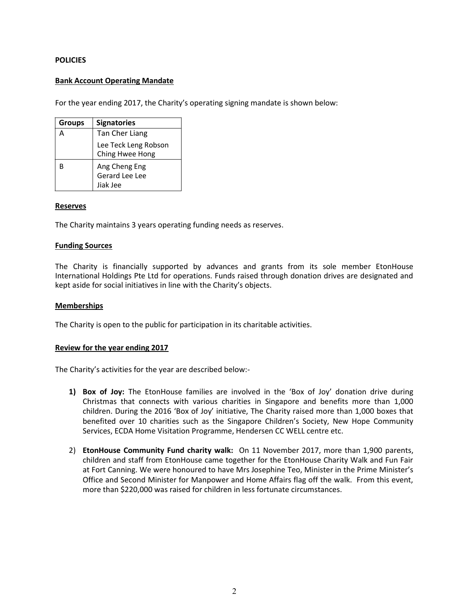### **POLICIES**

### Bank Account Operating Mandate

For the year ending 2017, the Charity's operating signing mandate is shown below:

| <b>Groups</b> | <b>Signatories</b>                          |
|---------------|---------------------------------------------|
| А             | Tan Cher Liang                              |
|               | Lee Teck Leng Robson<br>Ching Hwee Hong     |
| R             | Ang Cheng Eng<br>Gerard Lee Lee<br>Jiak Jee |

#### Reserves

The Charity maintains 3 years operating funding needs as reserves.

#### Funding Sources

The Charity is financially supported by advances and grants from its sole member EtonHouse International Holdings Pte Ltd for operations. Funds raised through donation drives are designated and kept aside for social initiatives in line with the Charity's objects.

#### Memberships

The Charity is open to the public for participation in its charitable activities.

#### Review for the year ending 2017

The Charity's activities for the year are described below:-

- 1) Box of Joy: The EtonHouse families are involved in the 'Box of Joy' donation drive during Christmas that connects with various charities in Singapore and benefits more than 1,000 children. During the 2016 'Box of Joy' initiative, The Charity raised more than 1,000 boxes that benefited over 10 charities such as the Singapore Children's Society, New Hope Community Services, ECDA Home Visitation Programme, Hendersen CC WELL centre etc.
- 2) EtonHouse Community Fund charity walk: On 11 November 2017, more than 1,900 parents, children and staff from EtonHouse came together for the EtonHouse Charity Walk and Fun Fair at Fort Canning. We were honoured to have Mrs Josephine Teo, Minister in the Prime Minister's Office and Second Minister for Manpower and Home Affairs flag off the walk. From this event, more than \$220,000 was raised for children in less fortunate circumstances.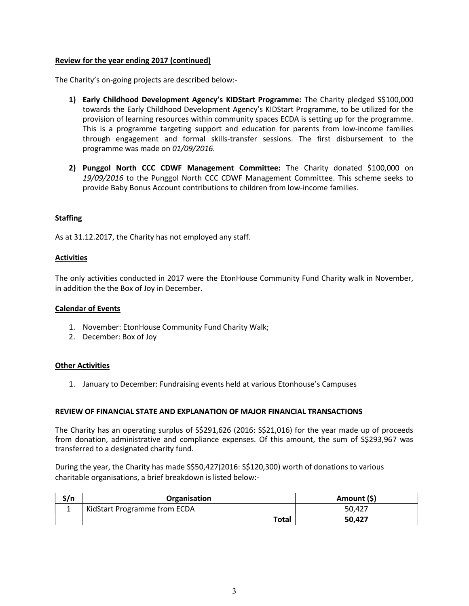### Review for the year ending 2017 (continued)

The Charity's on-going projects are described below:-

- 1) Early Childhood Development Agency's KIDStart Programme: The Charity pledged S\$100,000 towards the Early Childhood Development Agency's KIDStart Programme, to be utilized for the provision of learning resources within community spaces ECDA is setting up for the programme. This is a programme targeting support and education for parents from low-income families through engagement and formal skills-transfer sessions. The first disbursement to the programme was made on 01/09/2016.
- 2) Punggol North CCC CDWF Management Committee: The Charity donated \$100,000 on 19/09/2016 to the Punggol North CCC CDWF Management Committee. This scheme seeks to provide Baby Bonus Account contributions to children from low-income families.

## **Staffing**

As at 31.12.2017, the Charity has not employed any staff.

### Activities

The only activities conducted in 2017 were the EtonHouse Community Fund Charity walk in November, in addition the the Box of Joy in December.

#### Calendar of Events

- 1. November: EtonHouse Community Fund Charity Walk;
- 2. December: Box of Joy

#### Other Activities

1. January to December: Fundraising events held at various Etonhouse's Campuses

#### REVIEW OF FINANCIAL STATE AND EXPLANATION OF MAJOR FINANCIAL TRANSACTIONS

The Charity has an operating surplus of S\$291,626 (2016: S\$21,016) for the year made up of proceeds from donation, administrative and compliance expenses. Of this amount, the sum of S\$293,967 was transferred to a designated charity fund.

During the year, the Charity has made S\$50,427(2016: S\$120,300) worth of donations to various charitable organisations, a brief breakdown is listed below:-

| S/n | Organisation                 | Amount (\$) |
|-----|------------------------------|-------------|
|     | KidStart Programme from ECDA | 50.427      |
|     | <b>Total</b>                 | 50.427      |